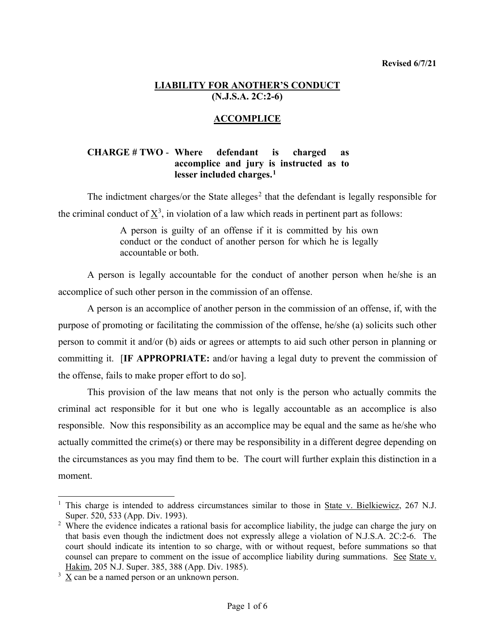## **LIABILITY FOR ANOTHER'S CONDUCT (N.J.S.A. 2C:2-6)**

## **ACCOMPLICE**

## **CHARGE # TWO** - **Where defendant is charged as accomplice and jury is instructed as to lesser included charges.[1](#page-0-0)**

The indictment charges/or the State alleges<sup>[2](#page-0-1)</sup> that the defendant is legally responsible for the criminal conduct of  $\underline{X}^3$  $\underline{X}^3$ , in violation of a law which reads in pertinent part as follows:

> A person is guilty of an offense if it is committed by his own conduct or the conduct of another person for which he is legally accountable or both.

A person is legally accountable for the conduct of another person when he/she is an accomplice of such other person in the commission of an offense.

A person is an accomplice of another person in the commission of an offense, if, with the purpose of promoting or facilitating the commission of the offense, he/she (a) solicits such other person to commit it and/or (b) aids or agrees or attempts to aid such other person in planning or committing it. [**IF APPROPRIATE:** and/or having a legal duty to prevent the commission of the offense, fails to make proper effort to do so].

This provision of the law means that not only is the person who actually commits the criminal act responsible for it but one who is legally accountable as an accomplice is also responsible. Now this responsibility as an accomplice may be equal and the same as he/she who actually committed the crime(s) or there may be responsibility in a different degree depending on the circumstances as you may find them to be. The court will further explain this distinction in a moment.

<span id="page-0-0"></span><sup>&</sup>lt;sup>1</sup> This charge is intended to address circumstances similar to those in State v. Bielkiewicz, 267 N.J. Super. 520, 533 (App. Div. 1993).

<span id="page-0-1"></span><sup>&</sup>lt;sup>2</sup> Where the evidence indicates a rational basis for accomplice liability, the judge can charge the jury on that basis even though the indictment does not expressly allege a violation of N.J.S.A. 2C:2-6. The court should indicate its intention to so charge, with or without request, before summations so that counsel can prepare to comment on the issue of accomplice liability during summations. See State v. Hakim, 205 N.J. Super. 385, 388 (App. Div. 1985).

<span id="page-0-2"></span> $3 \times$  can be a named person or an unknown person.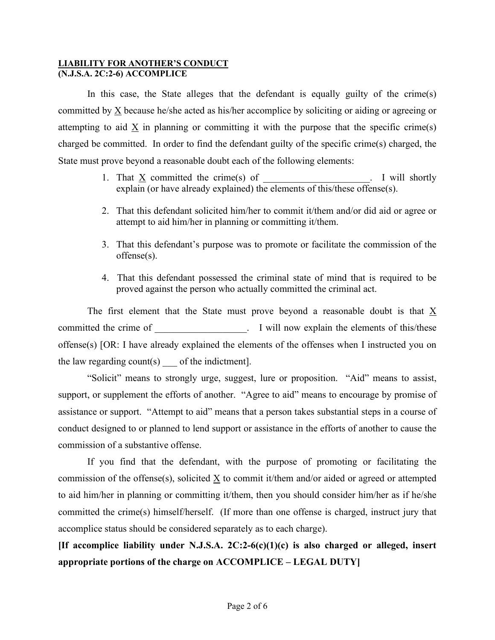In this case, the State alleges that the defendant is equally guilty of the crime(s) committed by  $\underline{X}$  because he/she acted as his/her accomplice by soliciting or aiding or agreeing or attempting to aid X in planning or committing it with the purpose that the specific crime(s) charged be committed. In order to find the defendant guilty of the specific crime(s) charged, the State must prove beyond a reasonable doubt each of the following elements:

- 1. That  $\underline{X}$  committed the crime(s) of  $\underline{X}$ . I will shortly explain (or have already explained) the elements of this/these offense(s).
- 2. That this defendant solicited him/her to commit it/them and/or did aid or agree or attempt to aid him/her in planning or committing it/them.
- 3. That this defendant's purpose was to promote or facilitate the commission of the offense(s).
- 4. That this defendant possessed the criminal state of mind that is required to be proved against the person who actually committed the criminal act.

The first element that the State must prove beyond a reasonable doubt is that  $\underline{X}$ committed the crime of \_\_\_\_\_\_\_\_\_\_\_\_\_\_\_\_\_\_\_\_\_. I will now explain the elements of this/these offense(s) [OR: I have already explained the elements of the offenses when I instructed you on the law regarding count(s) of the indictment.

"Solicit" means to strongly urge, suggest, lure or proposition. "Aid" means to assist, support, or supplement the efforts of another. "Agree to aid" means to encourage by promise of assistance or support. "Attempt to aid" means that a person takes substantial steps in a course of conduct designed to or planned to lend support or assistance in the efforts of another to cause the commission of a substantive offense.

If you find that the defendant, with the purpose of promoting or facilitating the commission of the offense(s), solicited  $\underline{X}$  to commit it/them and/or aided or agreed or attempted to aid him/her in planning or committing it/them, then you should consider him/her as if he/she committed the crime(s) himself/herself. (If more than one offense is charged, instruct jury that accomplice status should be considered separately as to each charge).

**[If accomplice liability under N.J.S.A. 2C:2-6(c)(1)(c) is also charged or alleged, insert appropriate portions of the charge on ACCOMPLICE – LEGAL DUTY]**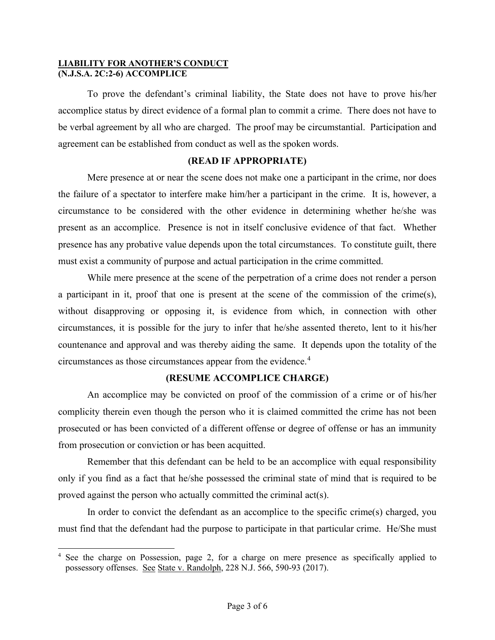To prove the defendant's criminal liability, the State does not have to prove his/her accomplice status by direct evidence of a formal plan to commit a crime. There does not have to be verbal agreement by all who are charged. The proof may be circumstantial. Participation and agreement can be established from conduct as well as the spoken words.

## **(READ IF APPROPRIATE)**

Mere presence at or near the scene does not make one a participant in the crime, nor does the failure of a spectator to interfere make him/her a participant in the crime. It is, however, a circumstance to be considered with the other evidence in determining whether he/she was present as an accomplice. Presence is not in itself conclusive evidence of that fact. Whether presence has any probative value depends upon the total circumstances. To constitute guilt, there must exist a community of purpose and actual participation in the crime committed.

While mere presence at the scene of the perpetration of a crime does not render a person a participant in it, proof that one is present at the scene of the commission of the crime(s), without disapproving or opposing it, is evidence from which, in connection with other circumstances, it is possible for the jury to infer that he/she assented thereto, lent to it his/her countenance and approval and was thereby aiding the same. It depends upon the totality of the circumstances as those circumstances appear from the evidence.<sup>[4](#page-2-0)</sup>

## **(RESUME ACCOMPLICE CHARGE)**

An accomplice may be convicted on proof of the commission of a crime or of his/her complicity therein even though the person who it is claimed committed the crime has not been prosecuted or has been convicted of a different offense or degree of offense or has an immunity from prosecution or conviction or has been acquitted.

Remember that this defendant can be held to be an accomplice with equal responsibility only if you find as a fact that he/she possessed the criminal state of mind that is required to be proved against the person who actually committed the criminal act(s).

In order to convict the defendant as an accomplice to the specific crime(s) charged, you must find that the defendant had the purpose to participate in that particular crime. He/She must

<span id="page-2-0"></span><sup>&</sup>lt;sup>4</sup> See the charge on Possession, page 2, for a charge on mere presence as specifically applied to possessory offenses. See State v. Randolph, 228 N.J. 566, 590-93 (2017).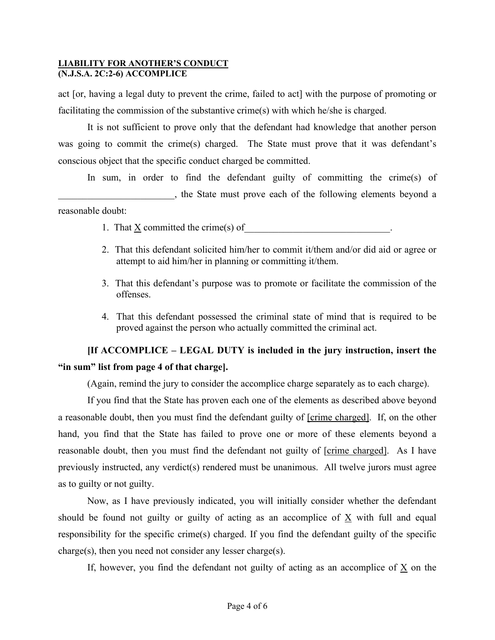act [or, having a legal duty to prevent the crime, failed to act] with the purpose of promoting or facilitating the commission of the substantive crime(s) with which he/she is charged.

It is not sufficient to prove only that the defendant had knowledge that another person was going to commit the crime(s) charged. The State must prove that it was defendant's conscious object that the specific conduct charged be committed.

In sum, in order to find the defendant guilty of committing the crime(s) of \_\_\_\_\_\_\_\_\_\_\_\_\_\_\_\_\_\_\_\_\_\_\_\_, the State must prove each of the following elements beyond a reasonable doubt:

- 1. That  $\underline{X}$  committed the crime(s) of
- 2. That this defendant solicited him/her to commit it/them and/or did aid or agree or attempt to aid him/her in planning or committing it/them.
- 3. That this defendant's purpose was to promote or facilitate the commission of the offenses.
- 4. That this defendant possessed the criminal state of mind that is required to be proved against the person who actually committed the criminal act.

# **[If ACCOMPLICE – LEGAL DUTY is included in the jury instruction, insert the "in sum" list from page 4 of that charge].**

(Again, remind the jury to consider the accomplice charge separately as to each charge).

If you find that the State has proven each one of the elements as described above beyond a reasonable doubt, then you must find the defendant guilty of [crime charged]. If, on the other hand, you find that the State has failed to prove one or more of these elements beyond a reasonable doubt, then you must find the defendant not guilty of [crime charged]. As I have previously instructed, any verdict(s) rendered must be unanimous. All twelve jurors must agree as to guilty or not guilty.

Now, as I have previously indicated, you will initially consider whether the defendant should be found not guilty or guilty of acting as an accomplice of  $\underline{X}$  with full and equal responsibility for the specific crime(s) charged. If you find the defendant guilty of the specific charge(s), then you need not consider any lesser charge(s).

If, however, you find the defendant not guilty of acting as an accomplice of  $\underline{X}$  on the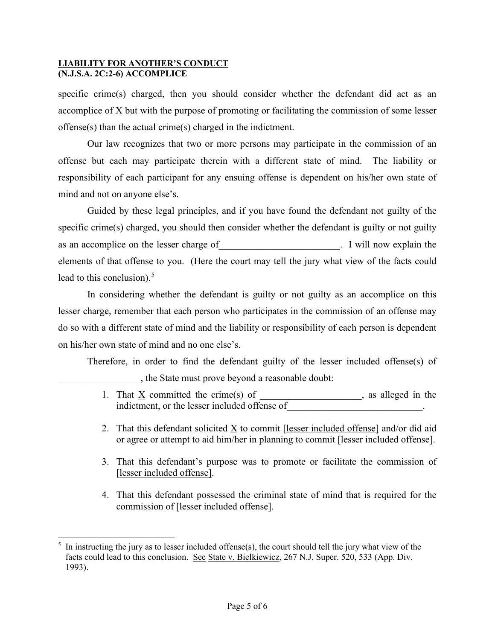specific crime(s) charged, then you should consider whether the defendant did act as an accomplice of  $\underline{X}$  but with the purpose of promoting or facilitating the commission of some lesser offense(s) than the actual crime(s) charged in the indictment.

Our law recognizes that two or more persons may participate in the commission of an offense but each may participate therein with a different state of mind. The liability or responsibility of each participant for any ensuing offense is dependent on his/her own state of mind and not on anyone else's.

Guided by these legal principles, and if you have found the defendant not guilty of the specific crime(s) charged, you should then consider whether the defendant is guilty or not guilty as an accomplice on the lesser charge of Texas and Texas in Texas and accomplice on the lesser charge of Texas elements of that offense to you. (Here the court may tell the jury what view of the facts could lead to this conclusion). $5$ 

In considering whether the defendant is guilty or not guilty as an accomplice on this lesser charge, remember that each person who participates in the commission of an offense may do so with a different state of mind and the liability or responsibility of each person is dependent on his/her own state of mind and no one else's.

Therefore, in order to find the defendant guilty of the lesser included offense(s) of \_\_\_\_\_\_\_\_\_\_\_\_\_\_\_\_\_, the State must prove beyond a reasonable doubt:

- 1. That  $\underline{X}$  committed the crime(s) of \_\_\_\_\_\_\_\_\_\_\_\_\_\_, as alleged in the indictment, or the lesser included offense of
- 2. That this defendant solicited X to commit [lesser included offense] and/or did aid or agree or attempt to aid him/her in planning to commit [lesser included offense].
- 3. That this defendant's purpose was to promote or facilitate the commission of [lesser included offense].
- 4. That this defendant possessed the criminal state of mind that is required for the commission of [lesser included offense].

<span id="page-4-0"></span><sup>5</sup> In instructing the jury as to lesser included offense(s), the court should tell the jury what view of the facts could lead to this conclusion. See State v. Bielkiewicz, 267 N.J. Super. 520, 533 (App. Div. 1993).